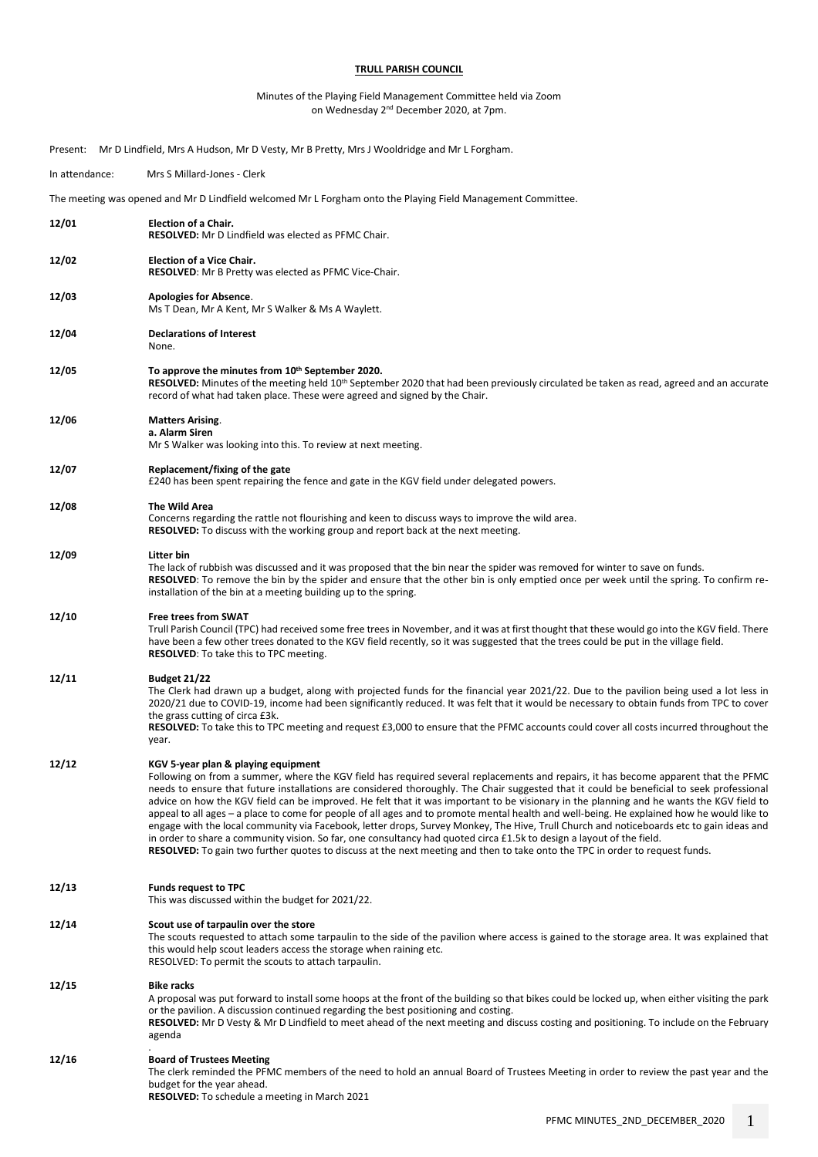## **TRULL PARISH COUNCIL**

## Minutes of the Playing Field Management Committee held via Zoom on Wednesday 2nd December 2020, at 7pm.

Present: Mr D Lindfield, Mrs A Hudson, Mr D Vesty, Mr B Pretty, Mrs J Wooldridge and Mr L Forgham.

# In attendance: Mrs S Millard-Jones - Clerk The meeting was opened and Mr D Lindfield welcomed Mr L Forgham onto the Playing Field Management Committee. **12/01 Election of a Chair. RESOLVED:** Mr D Lindfield was elected as PFMC Chair. **12/02 Election of a Vice Chair. RESOLVED**: Mr B Pretty was elected as PFMC Vice-Chair. **12/03 Apologies for Absence**. Ms T Dean, Mr A Kent, Mr S Walker & Ms A Waylett. **12/04 Declarations of Interest** None. **12/05 To approve the minutes from 10th September 2020.** RESOLVED: Minutes of the meeting held 10<sup>th</sup> September 2020 that had been previously circulated be taken as read, agreed and an accurate record of what had taken place. These were agreed and signed by the Chair. **12/06 Matters Arising**. **a. Alarm Siren** Mr S Walker was looking into this. To review at next meeting. **12/07 Replacement/fixing of the gate** £240 has been spent repairing the fence and gate in the KGV field under delegated powers. **12/08 The Wild Area**  Concerns regarding the rattle not flourishing and keen to discuss ways to improve the wild area. **RESOLVED:** To discuss with the working group and report back at the next meeting. **12/09 Litter bin**  The lack of rubbish was discussed and it was proposed that the bin near the spider was removed for winter to save on funds. **RESOLVED**: To remove the bin by the spider and ensure that the other bin is only emptied once per week until the spring. To confirm reinstallation of the bin at a meeting building up to the spring. **12/10 Free trees from SWAT**  Trull Parish Council (TPC) had received some free trees in November, and it was at first thought that these would go into the KGV field. There have been a few other trees donated to the KGV field recently, so it was suggested that the trees could be put in the village field. **RESOLVED**: To take this to TPC meeting. **12/11 Budget 21/22** The Clerk had drawn up a budget, along with projected funds for the financial year 2021/22. Due to the pavilion being used a lot less in 2020/21 due to COVID-19, income had been significantly reduced. It was felt that it would be necessary to obtain funds from TPC to cover the grass cutting of circa £3k. **RESOLVED:** To take this to TPC meeting and request £3,000 to ensure that the PFMC accounts could cover all costs incurred throughout the year. **12/12 KGV 5-year plan & playing equipment** Following on from a summer, where the KGV field has required several replacements and repairs, it has become apparent that the PFMC needs to ensure that future installations are considered thoroughly. The Chair suggested that it could be beneficial to seek professional advice on how the KGV field can be improved. He felt that it was important to be visionary in the planning and he wants the KGV field to appeal to all ages – a place to come for people of all ages and to promote mental health and well-being. He explained how he would like to engage with the local community via Facebook, letter drops, Survey Monkey, The Hive, Trull Church and noticeboards etc to gain ideas and in order to share a community vision. So far, one consultancy had quoted circa £1.5k to design a layout of the field. **RESOLVED:** To gain two further quotes to discuss at the next meeting and then to take onto the TPC in order to request funds. **12/13 Funds request to TPC** This was discussed within the budget for 2021/22. **12/14 Scout use of tarpaulin over the store** The scouts requested to attach some tarpaulin to the side of the pavilion where access is gained to the storage area. It was explained that this would help scout leaders access the storage when raining etc. RESOLVED: To permit the scouts to attach tarpaulin. **12/15 Bike racks** A proposal was put forward to install some hoops at the front of the building so that bikes could be locked up, when either visiting the park or the pavilion. A discussion continued regarding the best positioning and costing. **RESOLVED:** Mr D Vesty & Mr D Lindfield to meet ahead of the next meeting and discuss costing and positioning. To include on the February agenda . **12/16 Board of Trustees Meeting** The clerk reminded the PFMC members of the need to hold an annual Board of Trustees Meeting in order to review the past year and the budget for the year ahead. **RESOLVED:** To schedule a meeting in March 2021